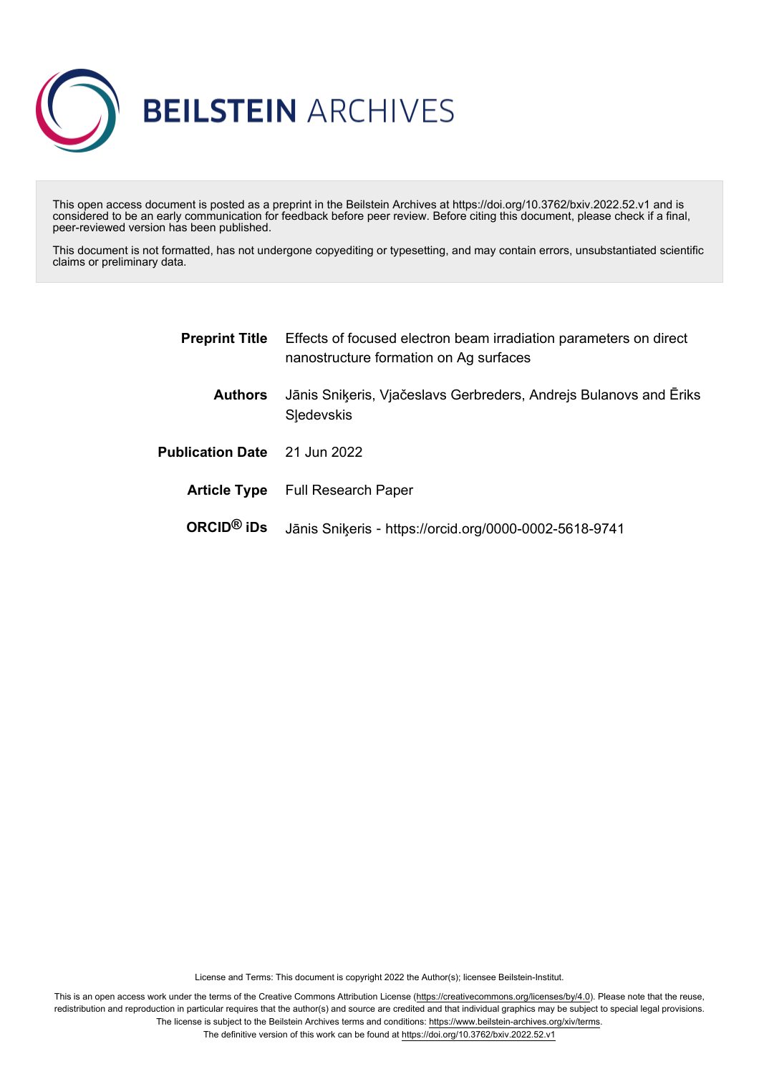

This open access document is posted as a preprint in the Beilstein Archives at https://doi.org/10.3762/bxiv.2022.52.v1 and is considered to be an early communication for feedback before peer review. Before citing this document, please check if a final, peer-reviewed version has been published.

This document is not formatted, has not undergone copyediting or typesetting, and may contain errors, unsubstantiated scientific claims or preliminary data.

| <b>Preprint Title</b>               | Effects of focused electron beam irradiation parameters on direct<br>nanostructure formation on Ag surfaces |
|-------------------------------------|-------------------------------------------------------------------------------------------------------------|
| <b>Authors</b>                      | Jānis Sniķeris, Vjačeslavs Gerbreders, Andrejs Bulanovs and Ēriks<br><b>Sledevskis</b>                      |
| <b>Publication Date</b> 21 Jun 2022 |                                                                                                             |
|                                     | <b>Article Type</b> Full Research Paper                                                                     |
| $ORCID®$ iDs                        | Jānis Sniķeris - https://orcid.org/0000-0002-5618-9741                                                      |

License and Terms: This document is copyright 2022 the Author(s); licensee Beilstein-Institut.

This is an open access work under the terms of the Creative Commons Attribution License [\(https://creativecommons.org/licenses/by/4.0\)](https://creativecommons.org/licenses/by/4.0). Please note that the reuse, redistribution and reproduction in particular requires that the author(s) and source are credited and that individual graphics may be subject to special legal provisions. The license is subject to the Beilstein Archives terms and conditions: [https://www.beilstein-archives.org/xiv/terms.](https://www.beilstein-archives.org/xiv/terms) The definitive version of this work can be found at <https://doi.org/10.3762/bxiv.2022.52.v1>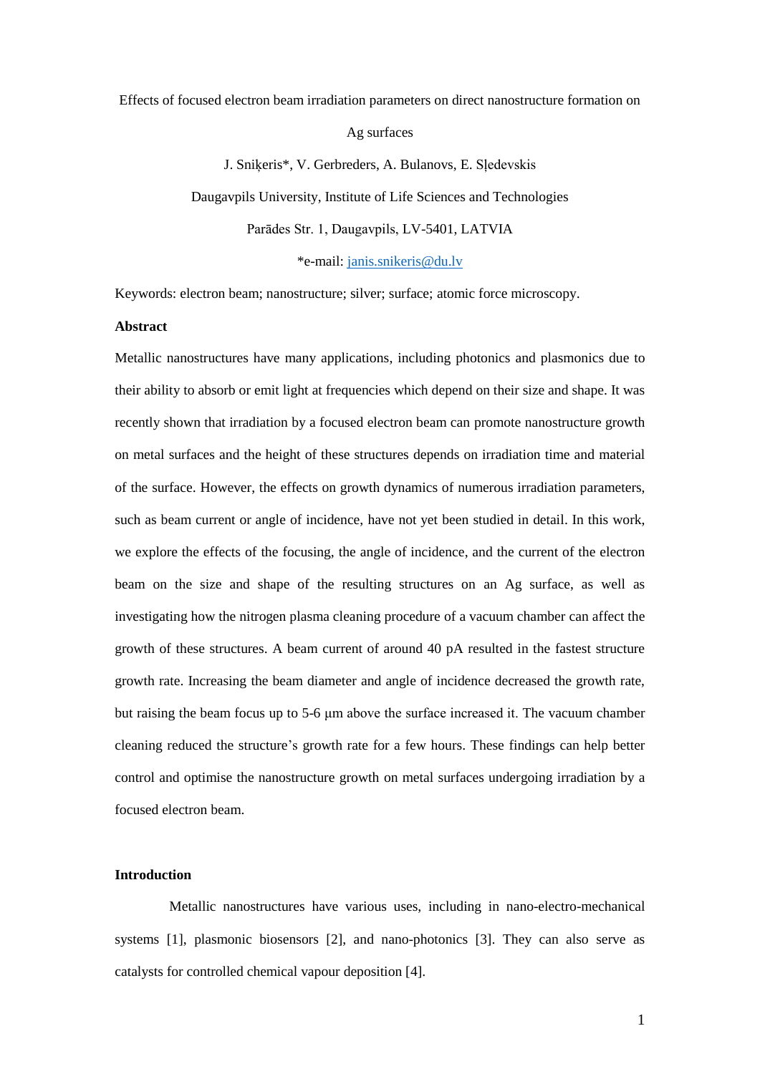#### Effects of focused electron beam irradiation parameters on direct nanostructure formation on

Ag surfaces

J. Sniķeris\*, V. Gerbreders, A. Bulanovs, E. Sļedevskis Daugavpils University, Institute of Life Sciences and Technologies Parādes Str. 1, Daugavpils, LV-5401, LATVIA

\*e-mail: [janis.snikeris@du.lv](mailto:janis.snikeris@du.lv)

Keywords: electron beam; nanostructure; silver; surface; atomic force microscopy.

### **Abstract**

Metallic nanostructures have many applications, including photonics and plasmonics due to their ability to absorb or emit light at frequencies which depend on their size and shape. It was recently shown that irradiation by a focused electron beam can promote nanostructure growth on metal surfaces and the height of these structures depends on irradiation time and material of the surface. However, the effects on growth dynamics of numerous irradiation parameters, such as beam current or angle of incidence, have not yet been studied in detail. In this work, we explore the effects of the focusing, the angle of incidence, and the current of the electron beam on the size and shape of the resulting structures on an Ag surface, as well as investigating how the nitrogen plasma cleaning procedure of a vacuum chamber can affect the growth of these structures. A beam current of around 40 pA resulted in the fastest structure growth rate. Increasing the beam diameter and angle of incidence decreased the growth rate, but raising the beam focus up to 5-6 μm above the surface increased it. The vacuum chamber cleaning reduced the structure's growth rate for a few hours. These findings can help better control and optimise the nanostructure growth on metal surfaces undergoing irradiation by a focused electron beam.

# **Introduction**

Metallic nanostructures have various uses, including in nano-electro-mechanical systems [1], plasmonic biosensors [2], and nano-photonics [3]. They can also serve as catalysts for controlled chemical vapour deposition [4].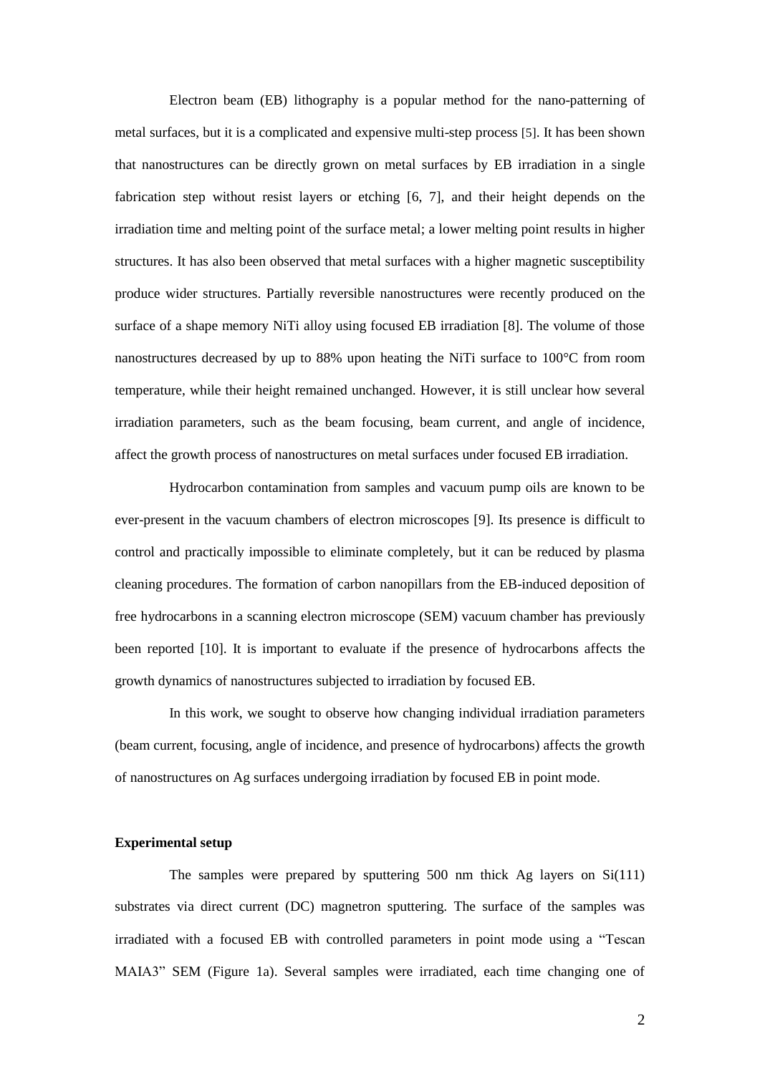Electron beam (EB) lithography is a popular method for the nano-patterning of metal surfaces, but it is a complicated and expensive multi-step process [5]. It has been shown that nanostructures can be directly grown on metal surfaces by EB irradiation in a single fabrication step without resist layers or etching [6, 7], and their height depends on the irradiation time and melting point of the surface metal; a lower melting point results in higher structures. It has also been observed that metal surfaces with a higher magnetic susceptibility produce wider structures. Partially reversible nanostructures were recently produced on the surface of a shape memory NiTi alloy using focused EB irradiation [8]. The volume of those nanostructures decreased by up to 88% upon heating the NiTi surface to 100°C from room temperature, while their height remained unchanged. However, it is still unclear how several irradiation parameters, such as the beam focusing, beam current, and angle of incidence, affect the growth process of nanostructures on metal surfaces under focused EB irradiation.

Hydrocarbon contamination from samples and vacuum pump oils are known to be ever-present in the vacuum chambers of electron microscopes [9]. Its presence is difficult to control and practically impossible to eliminate completely, but it can be reduced by plasma cleaning procedures. The formation of carbon nanopillars from the EB-induced deposition of free hydrocarbons in a scanning electron microscope (SEM) vacuum chamber has previously been reported [10]. It is important to evaluate if the presence of hydrocarbons affects the growth dynamics of nanostructures subjected to irradiation by focused EB.

In this work, we sought to observe how changing individual irradiation parameters (beam current, focusing, angle of incidence, and presence of hydrocarbons) affects the growth of nanostructures on Ag surfaces undergoing irradiation by focused EB in point mode.

### **Experimental setup**

The samples were prepared by sputtering 500 nm thick Ag layers on Si(111) substrates via direct current (DC) magnetron sputtering. The surface of the samples was irradiated with a focused EB with controlled parameters in point mode using a "Tescan MAIA3" SEM (Figure 1a). Several samples were irradiated, each time changing one of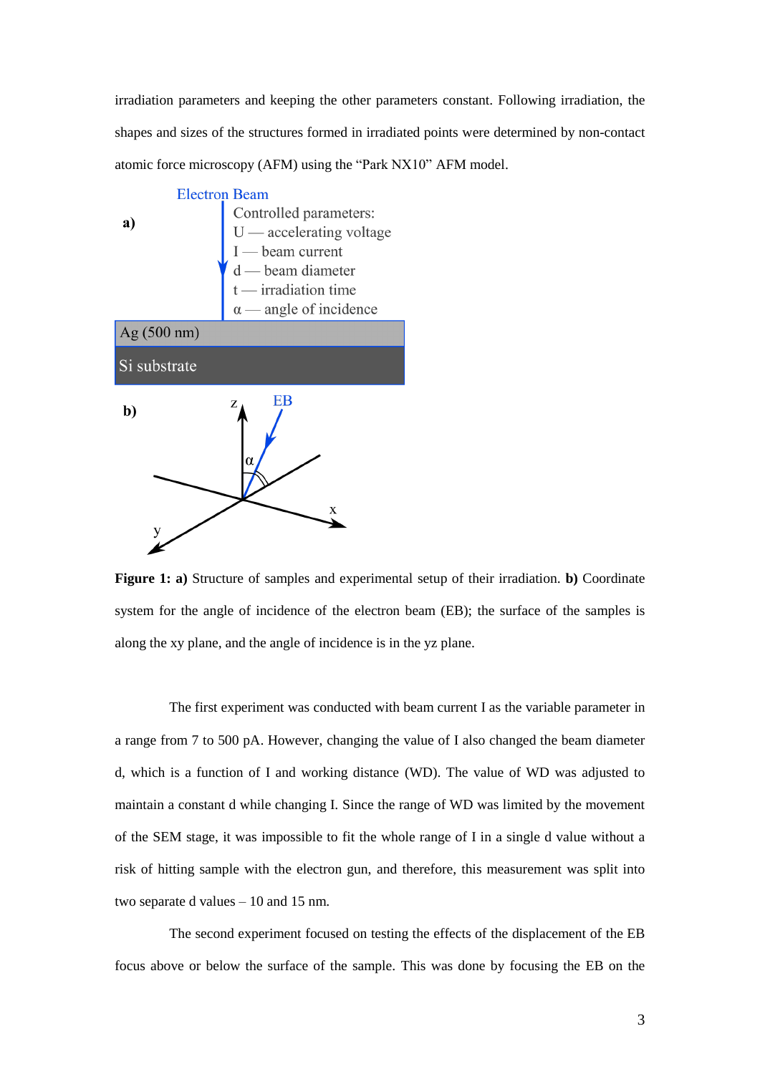irradiation parameters and keeping the other parameters constant. Following irradiation, the shapes and sizes of the structures formed in irradiated points were determined by non-contact atomic force microscopy (AFM) using the "Park NX10" AFM model.



**Figure 1: a)** Structure of samples and experimental setup of their irradiation. **b)** Coordinate system for the angle of incidence of the electron beam (EB); the surface of the samples is along the xy plane, and the angle of incidence is in the yz plane.

The first experiment was conducted with beam current I as the variable parameter in a range from 7 to 500 pA. However, changing the value of I also changed the beam diameter d, which is a function of I and working distance (WD). The value of WD was adjusted to maintain a constant d while changing I. Since the range of WD was limited by the movement of the SEM stage, it was impossible to fit the whole range of I in a single d value without a risk of hitting sample with the electron gun, and therefore, this measurement was split into two separate d values – 10 and 15 nm.

The second experiment focused on testing the effects of the displacement of the EB focus above or below the surface of the sample. This was done by focusing the EB on the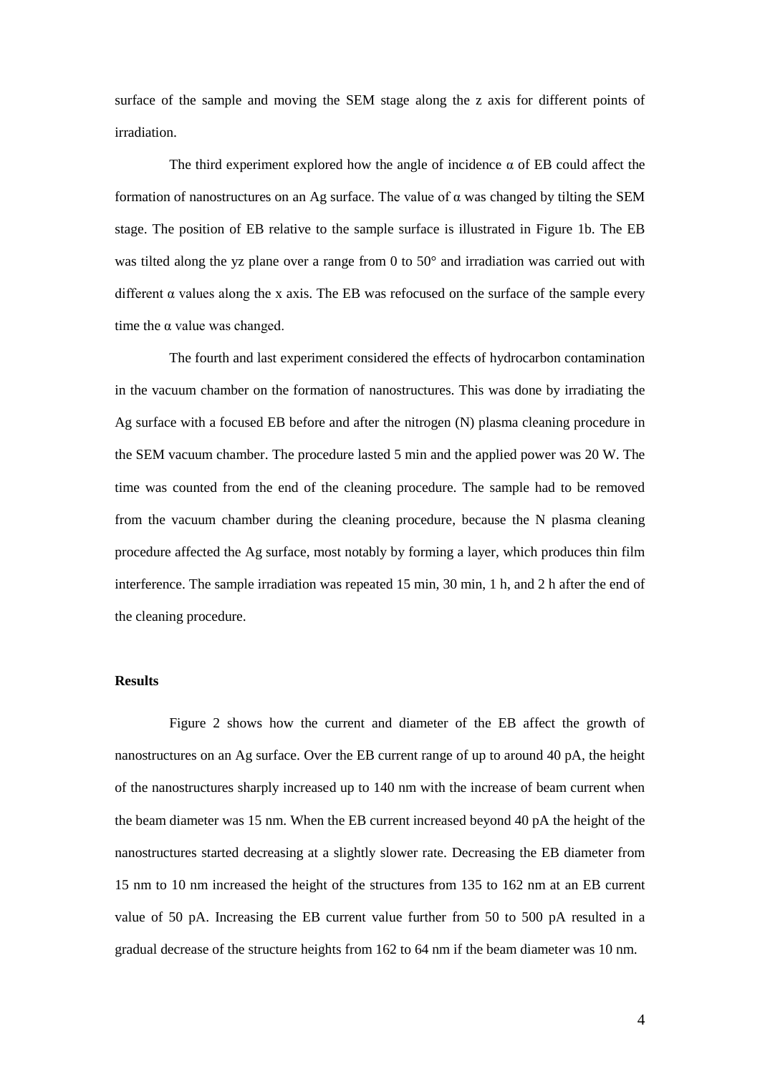surface of the sample and moving the SEM stage along the z axis for different points of irradiation.

The third experiment explored how the angle of incidence  $\alpha$  of EB could affect the formation of nanostructures on an Ag surface. The value of  $\alpha$  was changed by tilting the SEM stage. The position of EB relative to the sample surface is illustrated in Figure 1b. The EB was tilted along the yz plane over a range from 0 to 50° and irradiation was carried out with different  $\alpha$  values along the x axis. The EB was refocused on the surface of the sample every time the  $\alpha$  value was changed.

The fourth and last experiment considered the effects of hydrocarbon contamination in the vacuum chamber on the formation of nanostructures. This was done by irradiating the Ag surface with a focused EB before and after the nitrogen (N) plasma cleaning procedure in the SEM vacuum chamber. The procedure lasted 5 min and the applied power was 20 W. The time was counted from the end of the cleaning procedure. The sample had to be removed from the vacuum chamber during the cleaning procedure, because the N plasma cleaning procedure affected the Ag surface, most notably by forming a layer, which produces thin film interference. The sample irradiation was repeated 15 min, 30 min, 1 h, and 2 h after the end of the cleaning procedure.

## **Results**

Figure 2 shows how the current and diameter of the EB affect the growth of nanostructures on an Ag surface. Over the EB current range of up to around 40 pA, the height of the nanostructures sharply increased up to 140 nm with the increase of beam current when the beam diameter was 15 nm. When the EB current increased beyond 40 pA the height of the nanostructures started decreasing at a slightly slower rate. Decreasing the EB diameter from 15 nm to 10 nm increased the height of the structures from 135 to 162 nm at an EB current value of 50 pA. Increasing the EB current value further from 50 to 500 pA resulted in a gradual decrease of the structure heights from 162 to 64 nm if the beam diameter was 10 nm.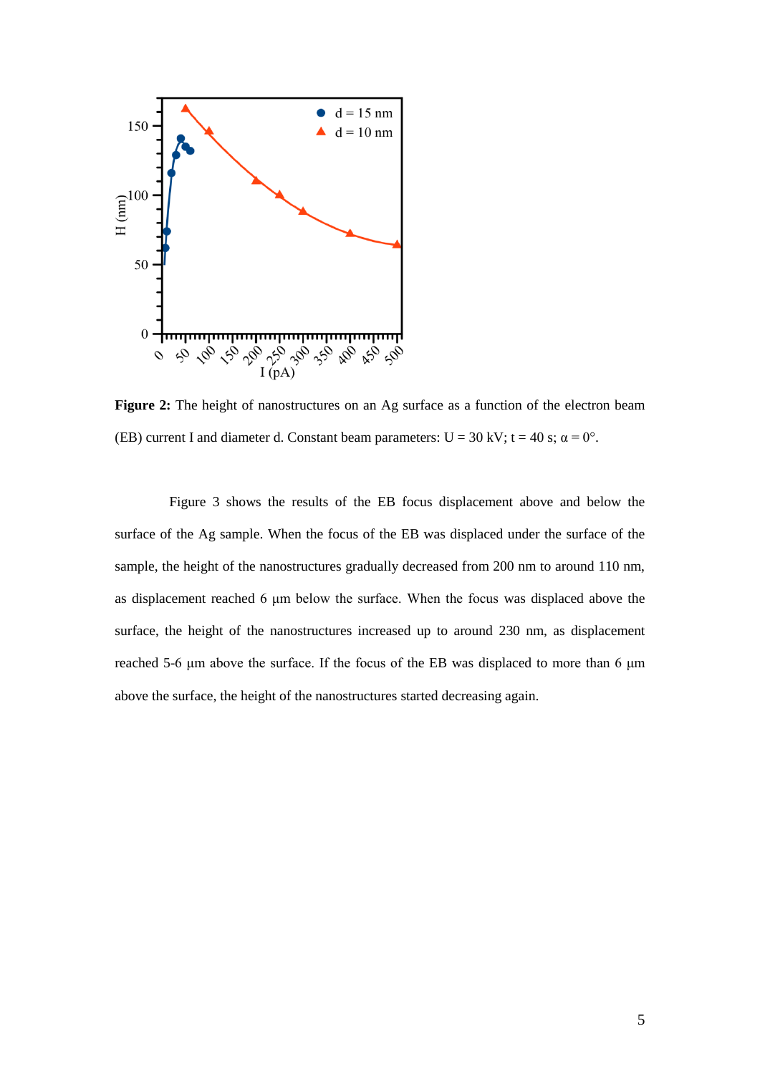

Figure 2: The height of nanostructures on an Ag surface as a function of the electron beam (EB) current I and diameter d. Constant beam parameters:  $U = 30$  kV;  $t = 40$  s;  $\alpha = 0^{\circ}$ .

Figure 3 shows the results of the EB focus displacement above and below the surface of the Ag sample. When the focus of the EB was displaced under the surface of the sample, the height of the nanostructures gradually decreased from 200 nm to around 110 nm, as displacement reached 6 μm below the surface. When the focus was displaced above the surface, the height of the nanostructures increased up to around 230 nm, as displacement reached 5-6 μm above the surface. If the focus of the EB was displaced to more than 6 μm above the surface, the height of the nanostructures started decreasing again.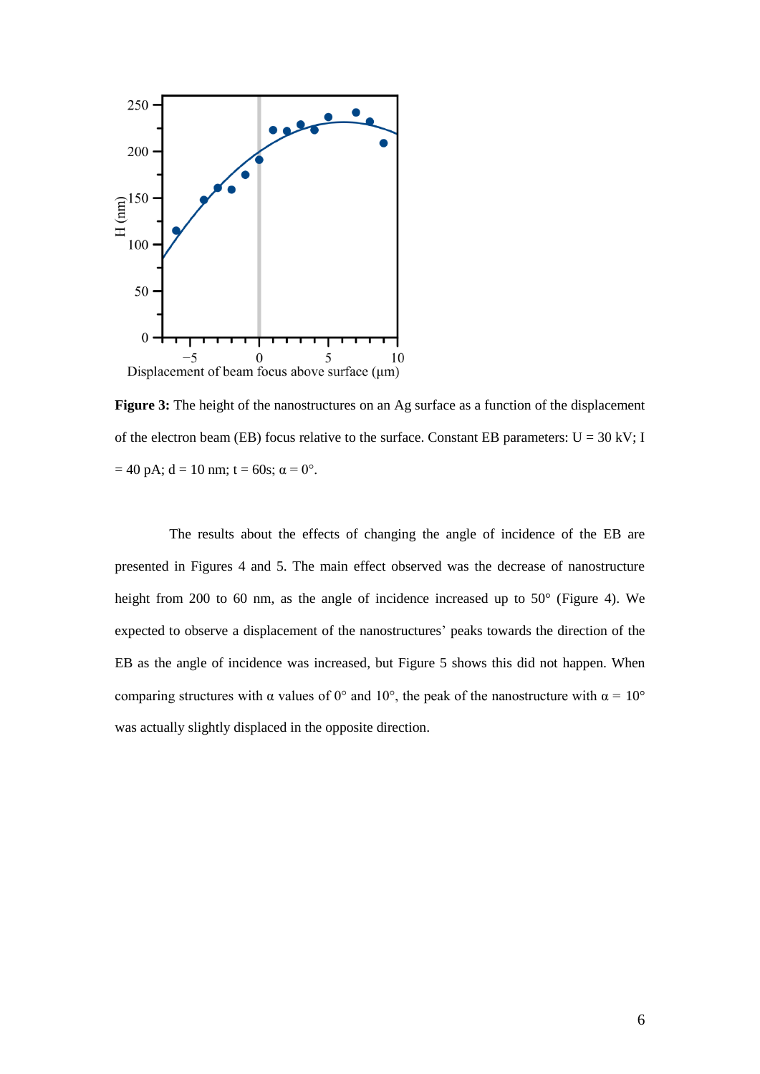

**Figure 3:** The height of the nanostructures on an Ag surface as a function of the displacement of the electron beam (EB) focus relative to the surface. Constant EB parameters:  $U = 30$  kV; I  $= 40$  pA;  $d = 10$  nm;  $t = 60$ s;  $\alpha = 0^{\circ}$ .

The results about the effects of changing the angle of incidence of the EB are presented in Figures 4 and 5. The main effect observed was the decrease of nanostructure height from 200 to 60 nm, as the angle of incidence increased up to 50 $^{\circ}$  (Figure 4). We expected to observe a displacement of the nanostructures' peaks towards the direction of the EB as the angle of incidence was increased, but Figure 5 shows this did not happen. When comparing structures with  $\alpha$  values of 0° and 10°, the peak of the nanostructure with  $\alpha = 10^{\circ}$ was actually slightly displaced in the opposite direction.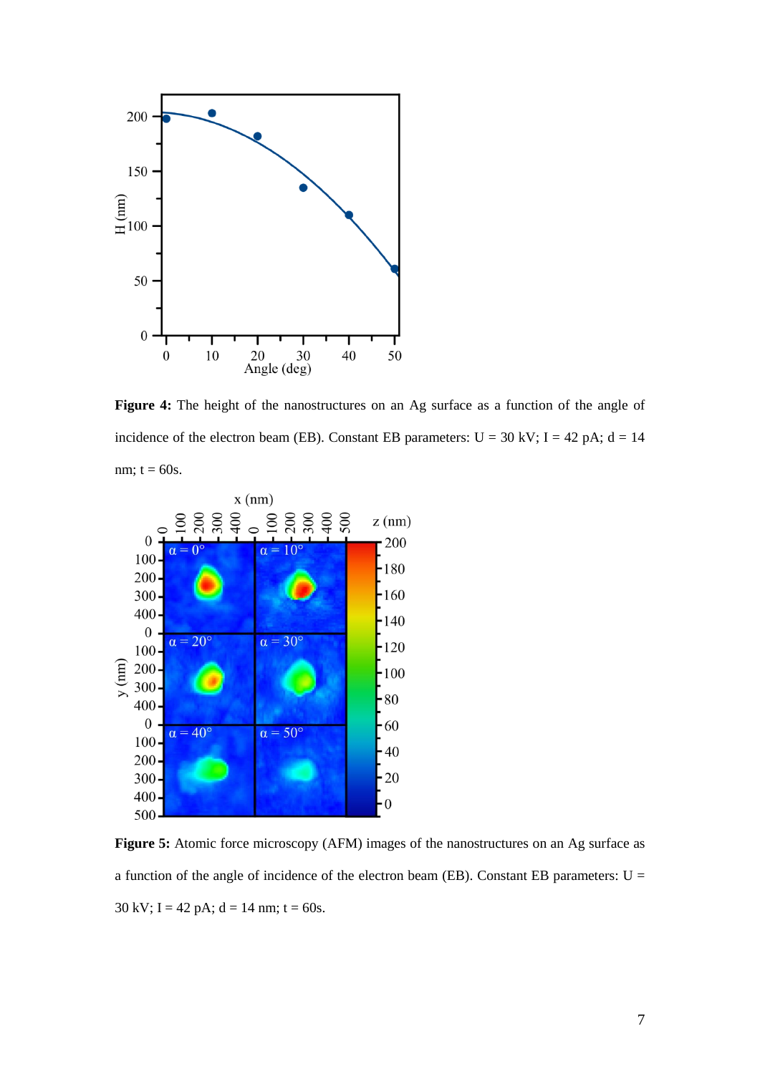

**Figure 4:** The height of the nanostructures on an Ag surface as a function of the angle of incidence of the electron beam (EB). Constant EB parameters:  $U = 30$  kV; I = 42 pA; d = 14 nm;  $t = 60s$ .



**Figure 5:** Atomic force microscopy (AFM) images of the nanostructures on an Ag surface as a function of the angle of incidence of the electron beam (EB). Constant EB parameters:  $U =$ 30 kV; I = 42 pA;  $d = 14$  nm; t = 60s.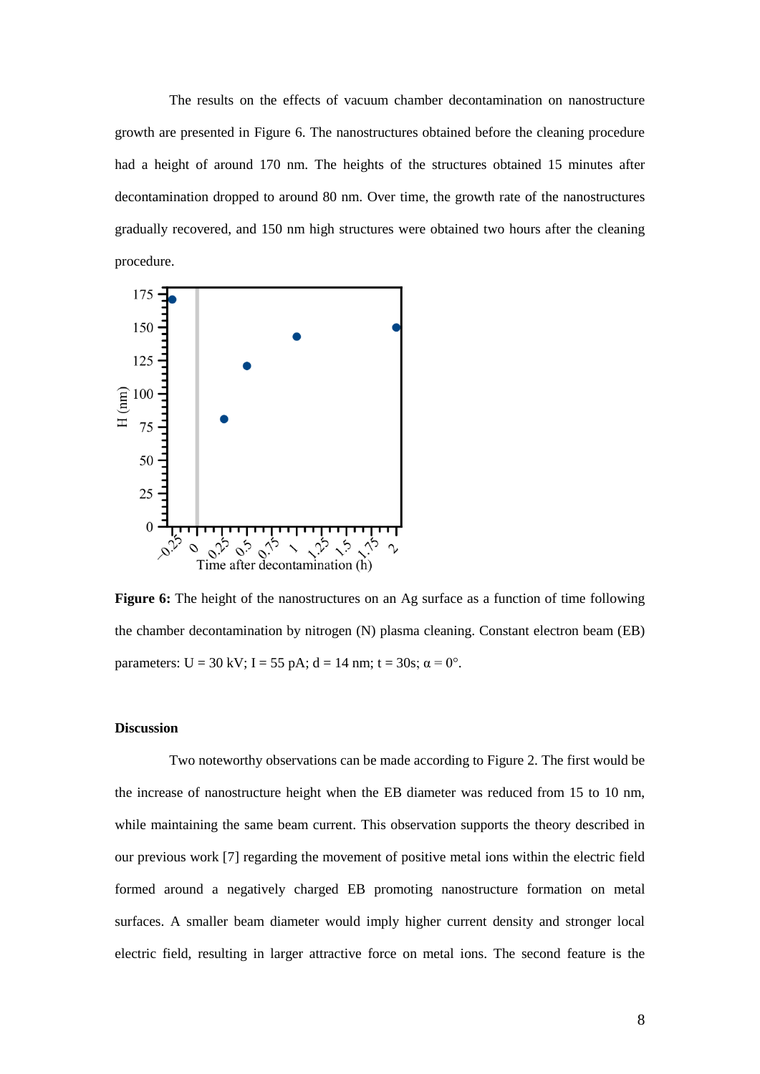The results on the effects of vacuum chamber decontamination on nanostructure growth are presented in Figure 6. The nanostructures obtained before the cleaning procedure had a height of around 170 nm. The heights of the structures obtained 15 minutes after decontamination dropped to around 80 nm. Over time, the growth rate of the nanostructures gradually recovered, and 150 nm high structures were obtained two hours after the cleaning procedure.



Figure 6: The height of the nanostructures on an Ag surface as a function of time following the chamber decontamination by nitrogen (N) plasma cleaning. Constant electron beam (EB) parameters:  $U = 30$  kV;  $I = 55$  pA;  $d = 14$  nm;  $t = 30$ s;  $\alpha = 0^{\circ}$ .

### **Discussion**

Two noteworthy observations can be made according to Figure 2. The first would be the increase of nanostructure height when the EB diameter was reduced from 15 to 10 nm, while maintaining the same beam current. This observation supports the theory described in our previous work [7] regarding the movement of positive metal ions within the electric field formed around a negatively charged EB promoting nanostructure formation on metal surfaces. A smaller beam diameter would imply higher current density and stronger local electric field, resulting in larger attractive force on metal ions. The second feature is the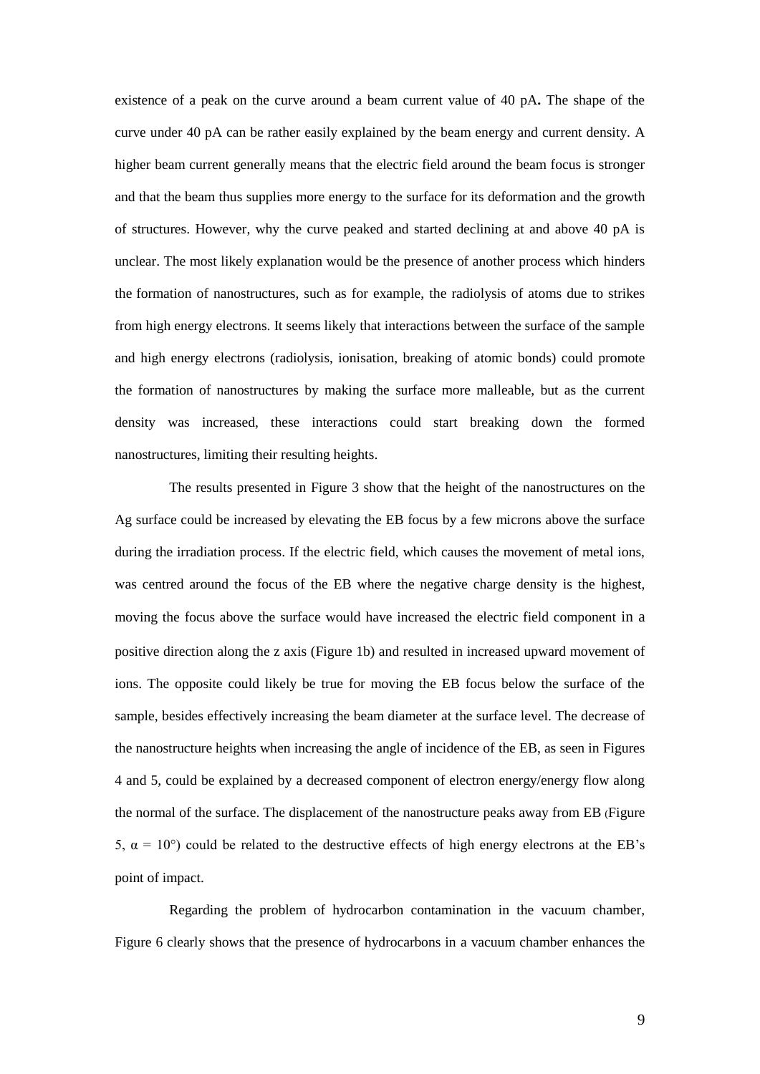existence of a peak on the curve around a beam current value of 40 pA**.** The shape of the curve under 40 pA can be rather easily explained by the beam energy and current density. A higher beam current generally means that the electric field around the beam focus is stronger and that the beam thus supplies more energy to the surface for its deformation and the growth of structures. However, why the curve peaked and started declining at and above 40 pA is unclear. The most likely explanation would be the presence of another process which hinders the formation of nanostructures, such as for example, the radiolysis of atoms due to strikes from high energy electrons. It seems likely that interactions between the surface of the sample and high energy electrons (radiolysis, ionisation, breaking of atomic bonds) could promote the formation of nanostructures by making the surface more malleable, but as the current density was increased, these interactions could start breaking down the formed nanostructures, limiting their resulting heights.

The results presented in Figure 3 show that the height of the nanostructures on the Ag surface could be increased by elevating the EB focus by a few microns above the surface during the irradiation process. If the electric field, which causes the movement of metal ions, was centred around the focus of the EB where the negative charge density is the highest, moving the focus above the surface would have increased the electric field component in a positive direction along the z axis (Figure 1b) and resulted in increased upward movement of ions. The opposite could likely be true for moving the EB focus below the surface of the sample, besides effectively increasing the beam diameter at the surface level. The decrease of the nanostructure heights when increasing the angle of incidence of the EB, as seen in Figures 4 and 5, could be explained by a decreased component of electron energy/energy flow along the normal of the surface. The displacement of the nanostructure peaks away from EB (Figure 5,  $α = 10°$ ) could be related to the destructive effects of high energy electrons at the EB's point of impact.

Regarding the problem of hydrocarbon contamination in the vacuum chamber, Figure 6 clearly shows that the presence of hydrocarbons in a vacuum chamber enhances the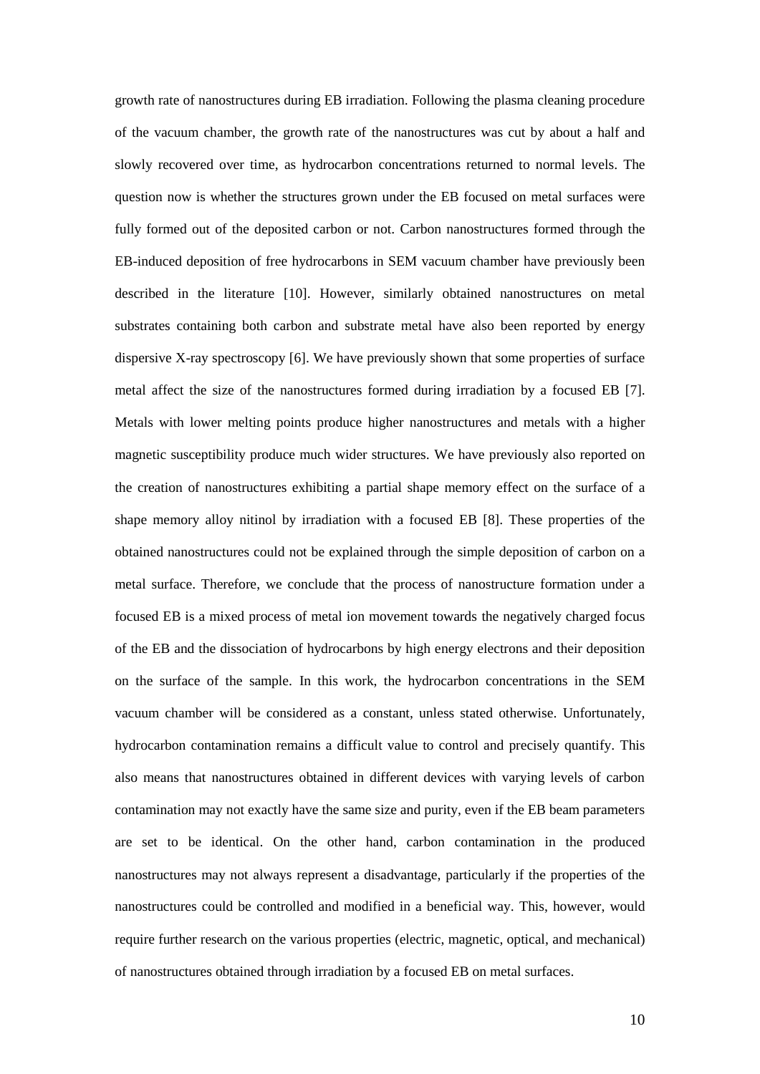growth rate of nanostructures during EB irradiation. Following the plasma cleaning procedure of the vacuum chamber, the growth rate of the nanostructures was cut by about a half and slowly recovered over time, as hydrocarbon concentrations returned to normal levels. The question now is whether the structures grown under the EB focused on metal surfaces were fully formed out of the deposited carbon or not. Carbon nanostructures formed through the EB-induced deposition of free hydrocarbons in SEM vacuum chamber have previously been described in the literature [10]. However, similarly obtained nanostructures on metal substrates containing both carbon and substrate metal have also been reported by energy dispersive X-ray spectroscopy [6]. We have previously shown that some properties of surface metal affect the size of the nanostructures formed during irradiation by a focused EB [7]. Metals with lower melting points produce higher nanostructures and metals with a higher magnetic susceptibility produce much wider structures. We have previously also reported on the creation of nanostructures exhibiting a partial shape memory effect on the surface of a shape memory alloy nitinol by irradiation with a focused EB [8]. These properties of the obtained nanostructures could not be explained through the simple deposition of carbon on a metal surface. Therefore, we conclude that the process of nanostructure formation under a focused EB is a mixed process of metal ion movement towards the negatively charged focus of the EB and the dissociation of hydrocarbons by high energy electrons and their deposition on the surface of the sample. In this work, the hydrocarbon concentrations in the SEM vacuum chamber will be considered as a constant, unless stated otherwise. Unfortunately, hydrocarbon contamination remains a difficult value to control and precisely quantify. This also means that nanostructures obtained in different devices with varying levels of carbon contamination may not exactly have the same size and purity, even if the EB beam parameters are set to be identical. On the other hand, carbon contamination in the produced nanostructures may not always represent a disadvantage, particularly if the properties of the nanostructures could be controlled and modified in a beneficial way. This, however, would require further research on the various properties (electric, magnetic, optical, and mechanical) of nanostructures obtained through irradiation by a focused EB on metal surfaces.

10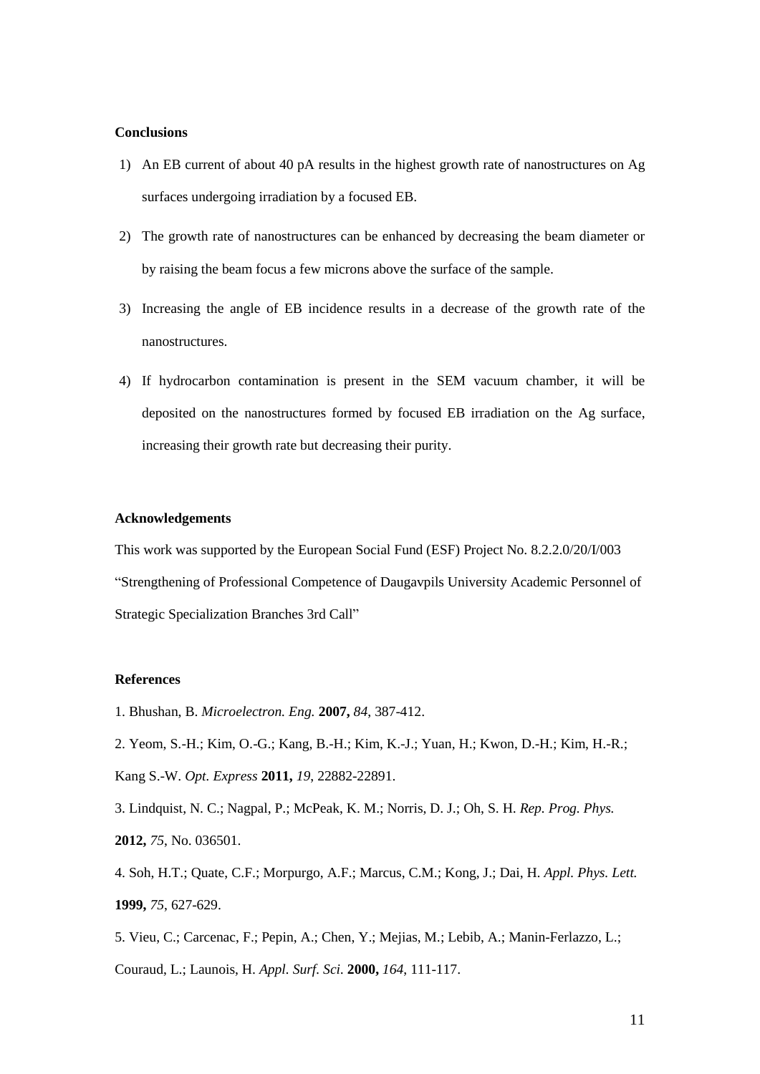## **Conclusions**

- 1) An EB current of about 40 pA results in the highest growth rate of nanostructures on Ag surfaces undergoing irradiation by a focused EB.
- 2) The growth rate of nanostructures can be enhanced by decreasing the beam diameter or by raising the beam focus a few microns above the surface of the sample.
- 3) Increasing the angle of EB incidence results in a decrease of the growth rate of the nanostructures.
- 4) If hydrocarbon contamination is present in the SEM vacuum chamber, it will be deposited on the nanostructures formed by focused EB irradiation on the Ag surface, increasing their growth rate but decreasing their purity.

#### **Acknowledgements**

This work was supported by the European Social Fund (ESF) Project No. 8.2.2.0/20/I/003 "Strengthening of Professional Competence of Daugavpils University Academic Personnel of Strategic Specialization Branches 3rd Call"

#### **References**

- 1. Bhushan, B. *Microelectron. Eng.* **2007,** *84*, 387-412.
- 2. Yeom, S.-H.; Kim, O.-G.; Kang, B.-H.; Kim, K.-J.; Yuan, H.; Kwon, D.-H.; Kim, H.-R.;
- Kang S.-W. *Opt. Express* **2011,** *19*, 22882-22891.

3. Lindquist, N. C.; Nagpal, P.; McPeak, K. M.; Norris, D. J.; Oh, S. H. *Rep. Prog. Phys.* **2012,** *75*, No. 036501.

4. Soh, H.T.; Quate, C.F.; Morpurgo, A.F.; Marcus, C.M.; Kong, J.; Dai, H. *Appl. Phys. Lett.* **1999,** *75*, 627-629.

5. Vieu, C.; Carcenac, F.; Pepin, A.; Chen, Y.; Mejias, M.; Lebib, A.; Manin-Ferlazzo, L.; Couraud, L.; Launois, H. *Appl. Surf. Sci.* **2000,** *164*, 111-117.